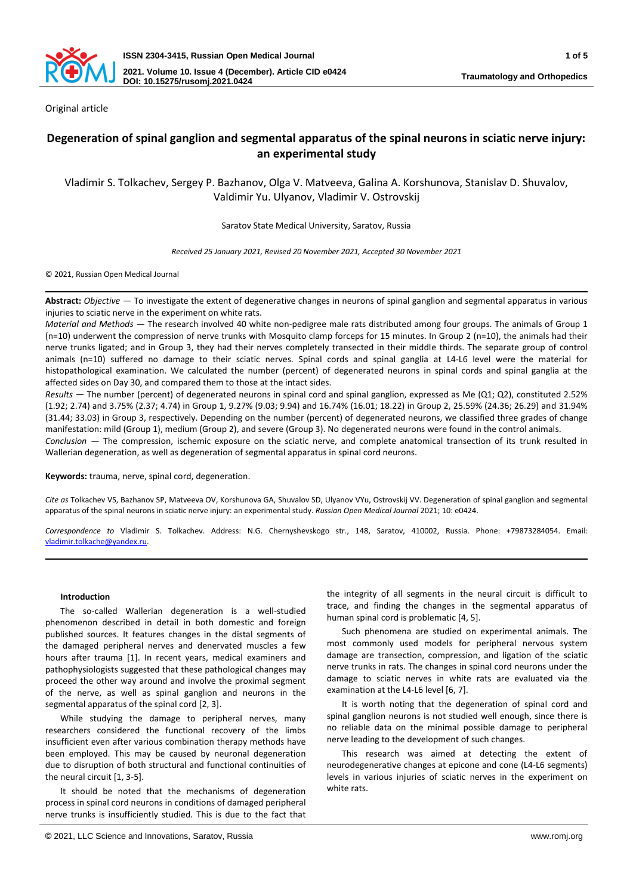

Original article

# **Degeneration of spinal ganglion and segmental apparatus of the spinal neurons in sciatic nerve injury: an experimental study**

Vladimir S. Tolkachev, Sergey P. Bazhanov, Olga V. Matveeva, Galina A. Korshunova, Stanislav D. Shuvalov, Valdimir Yu. Ulyanov, Vladimir V. Ostrovskij

Saratov State Medical University, Saratov, Russia

*Received 25 January 2021, Revised 20 November 2021, Accepted 30 November 2021*

© 2021, Russian Open Medical Journal

**Abstract:** *Objective —* To investigate the extent of degenerative changes in neurons of spinal ganglion and segmental apparatus in various injuries to sciatic nerve in the experiment on white rats.

*Material and Methods —* The research involved 40 white non-pedigree male rats distributed among four groups. The animals of Group 1 (n=10) underwent the compression of nerve trunks with Mosquito clamp forceps for 15 minutes. In Group 2 (n=10), the animals had their nerve trunks ligated; and in Group 3, they had their nerves completely transected in their middle thirds. The separate group of control animals (n=10) suffered no damage to their sciatic nerves. Spinal cords and spinal ganglia at L4-L6 level were the material for histopathological examination. We calculated the number (percent) of degenerated neurons in spinal cords and spinal ganglia at the affected sides on Day 30, and compared them to those at the intact sides.

*Results —* The number (percent) of degenerated neurons in spinal cord and spinal ganglion, expressed as Me (Q1; Q2), constituted 2.52% (1.92; 2.74) and 3.75% (2.37; 4.74) in Group 1, 9.27% (9.03; 9.94) and 16.74% (16.01; 18.22) in Group 2, 25.59% (24.36; 26.29) and 31.94% (31.44; 33.03) in Group 3, respectively. Depending on the number (percent) of degenerated neurons, we classified three grades of change manifestation: mild (Group 1), medium (Group 2), and severe (Group 3). No degenerated neurons were found in the control animals.

*Conclusion —* The compression, ischemic exposure on the sciatic nerve, and complete anatomical transection of its trunk resulted in Wallerian degeneration, as well as degeneration of segmental apparatus in spinal cord neurons.

**Keywords:** trauma, nerve, spinal cord, degeneration.

*Cite as* Tolkachev VS, Bazhanov SP, Matveeva OV, Korshunova GA, Shuvalov SD, Ulyanov VYu, Ostrovskij VV. Degeneration of spinal ganglion and segmental apparatus of the spinal neurons in sciatic nerve injury: an experimental study. *Russian Open Medical Journal* 2021; 10: e0424.

*Correspondence to* Vladimir S. Tolkachev. Address: N.G. Chernyshevskogo str., 148, Saratov, 410002, Russia. Phone: +79873284054. Email: [vladimir.tolkache@yandex.ru.](mailto:vladimir.tolkache@yandex.ru)

# **Introduction**

The so-called Wallerian degeneration is a well-studied phenomenon described in detail in both domestic and foreign published sources. It features changes in the distal segments of the damaged peripheral nerves and denervated muscles a few hours after trauma [1]. In recent years, medical examiners and pathophysiologists suggested that these pathological changes may proceed the other way around and involve the proximal segment of the nerve, as well as spinal ganglion and neurons in the segmental apparatus of the spinal cord [2, 3].

While studying the damage to peripheral nerves, many researchers considered the functional recovery of the limbs insufficient even after various combination therapy methods have been employed. This may be caused by neuronal degeneration due to disruption of both structural and functional continuities of the neural circuit [1, 3-5].

It should be noted that the mechanisms of degeneration process in spinal cord neurons in conditions of damaged peripheral nerve trunks is insufficiently studied. This is due to the fact that the integrity of all segments in the neural circuit is difficult to trace, and finding the changes in the segmental apparatus of human spinal cord is problematic [4, 5].

Such phenomena are studied on experimental animals. The most commonly used models for peripheral nervous system damage are transection, compression, and ligation of the sciatic nerve trunks in rats. The changes in spinal cord neurons under the damage to sciatic nerves in white rats are evaluated via the examination at the L4-L6 level [6, 7].

It is worth noting that the degeneration of spinal cord and spinal ganglion neurons is not studied well enough, since there is no reliable data on the minimal possible damage to peripheral nerve leading to the development of such changes.

This research was aimed at detecting the extent of neurodegenerative changes at epicone and cone (L4-L6 segments) levels in various injuries of sciatic nerves in the experiment on white rats.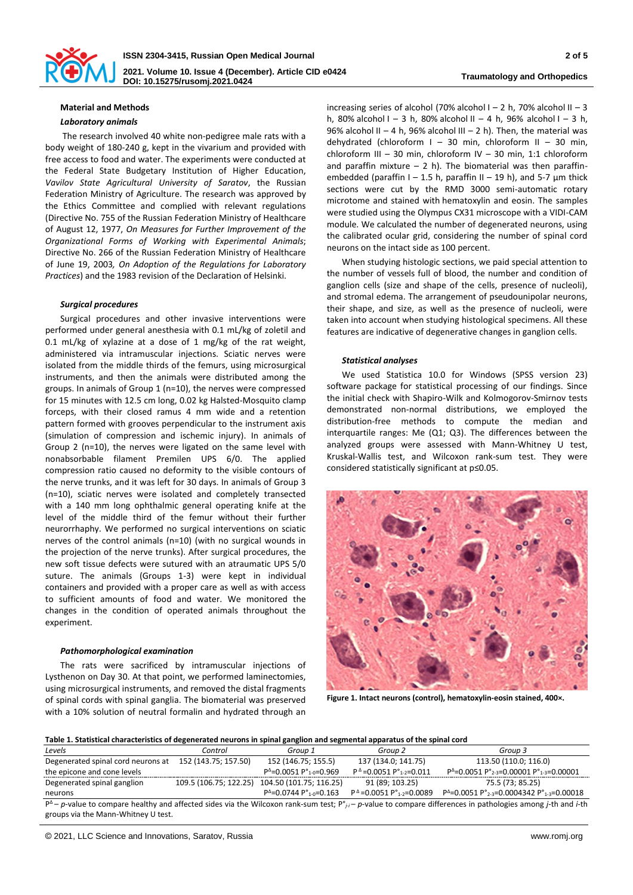

# **Material and Methods**

#### *Laboratory animals*

The research involved 40 white non-pedigree male rats with a body weight of 180-240 g, kept in the vivarium and provided with free access to food and water. The experiments were conducted at the Federal State Budgetary Institution of Higher Education, *Vavilov State Agricultural University of Saratov*, the Russian Federation Ministry of Agriculture. The research was approved by the Ethics Committee and complied with relevant regulations (Directive No. 755 of the Russian Federation Ministry of Healthcare of August 12, 1977, *On Measures for Further Improvement of the Organizational Forms of Working with Experimental Animals*; Directive No. 266 of the Russian Federation Ministry of Healthcare of June 19, 2003*, On Adoption of the Regulations for Laboratory Practices*) and the 1983 revision of the Declaration of Helsinki.

# *Surgical procedures*

Surgical procedures and other invasive interventions were performed under general anesthesia with 0.1 mL/kg of zoletil and 0.1 mL/kg of xylazine at a dose of 1 mg/kg of the rat weight, administered via intramuscular injections. Sciatic nerves were isolated from the middle thirds of the femurs, using microsurgical instruments, and then the animals were distributed among the groups. In animals of Group 1 (n=10), the nerves were compressed for 15 minutes with 12.5 cm long, 0.02 kg Halsted-Mosquito clamp forceps, with their closed ramus 4 mm wide and a retention pattern formed with grooves perpendicular to the instrument axis (simulation of compression and ischemic injury). In animals of Group 2 (n=10), the nerves were ligated on the same level with nonabsorbable filament Premilen UPS 6/0. The applied compression ratio caused no deformity to the visible contours of the nerve trunks, and it was left for 30 days. In animals of Group 3 (n=10), sciatic nerves were isolated and completely transected with a 140 mm long ophthalmic general operating knife at the level of the middle third of the femur without their further neurorrhaphy. We performed no surgical interventions on sciatic nerves of the control animals (n=10) (with no surgical wounds in the projection of the nerve trunks). After surgical procedures, the new soft tissue defects were sutured with an atraumatic UPS 5/0 suture. The animals (Groups 1-3) were kept in individual containers and provided with a proper care as well as with access to sufficient amounts of food and water. We monitored the changes in the condition of operated animals throughout the experiment.

## *Pathomorphological examination*

The rats were sacrificed by intramuscular injections of Lysthenon on Day 30. At that point, we performed laminectomies, using microsurgical instruments, and removed the distal fragments of spinal cords with spinal ganglia. The biomaterial was preserved with a 10% solution of neutral formalin and hydrated through an

increasing series of alcohol (70% alcohol  $I - 2$  h, 70% alcohol  $II - 3$ h, 80% alcohol I – 3 h, 80% alcohol II – 4 h, 96% alcohol I – 3 h, 96% alcohol II – 4 h, 96% alcohol III – 2 h). Then, the material was dehydrated (chloroform  $I - 30$  min, chloroform II - 30 min, chloroform III – 30 min, chloroform IV – 30 min, 1:1 chloroform and paraffin mixture  $-2$  h). The biomaterial was then paraffinembedded (paraffin I – 1.5 h, paraffin II – 19 h), and 5-7  $\mu$ m thick sections were cut by the RMD 3000 semi-automatic rotary microtome and stained with hematoxylin and eosin. The samples were studied using the Olympus CX31 microscope with a VIDI-CAM module. We calculated the number of degenerated neurons, using the calibrated ocular grid, considering the number of spinal cord neurons on the intact side as 100 percent.

When studying histologic sections, we paid special attention to the number of vessels full of blood, the number and condition of ganglion cells (size and shape of the cells, presence of nucleoli), and stromal edema. The arrangement of pseudounipolar neurons, their shape, and size, as well as the presence of nucleoli, were taken into account when studying histological specimens. All these features are indicative of degenerative changes in ganglion cells.

# *Statistical analyses*

We used Statistica 10.0 for Windows (SPSS version 23) software package for statistical processing of our findings. Since the initial check with Shapiro-Wilk and Kolmogorov-Smirnov tests demonstrated non-normal distributions, we employed the distribution-free methods to compute the median and interquartile ranges: Me (Q1; Q3). The differences between the analyzed groups were assessed with Mann-Whitney U test, Kruskal-Wallis test, and Wilcoxon rank-sum test. They were considered statistically significant at p≤0.05.



**Figure 1. Intact neurons (control), hematoxylin-eosin stained, 400×.**

#### **Table 1. Statistical characteristics of degenerated neurons in spinal ganglion and segmental apparatus of the spinal cord**

| Levels                                                                                                                                                                                           | Control                | Group 1                                | Group 2                                       | Group 3                                                                      |
|--------------------------------------------------------------------------------------------------------------------------------------------------------------------------------------------------|------------------------|----------------------------------------|-----------------------------------------------|------------------------------------------------------------------------------|
| Degenerated spinal cord neurons at                                                                                                                                                               | 152 (143.75; 157.50)   | 152 (146.75; 155.5)                    | 137 (134.0; 141.75)                           | 113.50 (110.0; 116.0)                                                        |
| the epicone and cone levels                                                                                                                                                                      |                        | $P^4 = 0.0051 P^{\circ}_{1-0} = 0.969$ | $P^{\Delta} = 0.0051 P^{\circ}_{1.2} = 0.011$ | $P^{\Delta}$ =0.0051 $P^{\circ}_{2-3}$ =0.00001 $P^{\circ}_{1-3}$ =0.00001   |
| Degenerated spinal ganglion                                                                                                                                                                      | 109.5 (106.75; 122.25) | 104.50 (101.75; 116.25)                | 91 (89: 103.25)                               | 75.5 (73; 85.25)                                                             |
| neurons                                                                                                                                                                                          |                        | $P^4 = 0.0744 P^{\circ}_{1.0} = 0.163$ | $P^4 = 0.0051 P^2_{1-2} = 0.0089$             | $P^{\Delta}$ =0.0051 P° <sub>2-3</sub> =0.0004342 P° <sub>1-3</sub> =0.00018 |
| $P^{\Delta}$ - p-value to compare healthy and affected sides via the Wilcoxon rank-sum test; $P^{\circ}_{H}$ - p-value to compare differences in pathologies among <i>j</i> -th and <i>i</i> -th |                        |                                        |                                               |                                                                              |
| groups via the Mann-Whitney U test.                                                                                                                                                              |                        |                                        |                                               |                                                                              |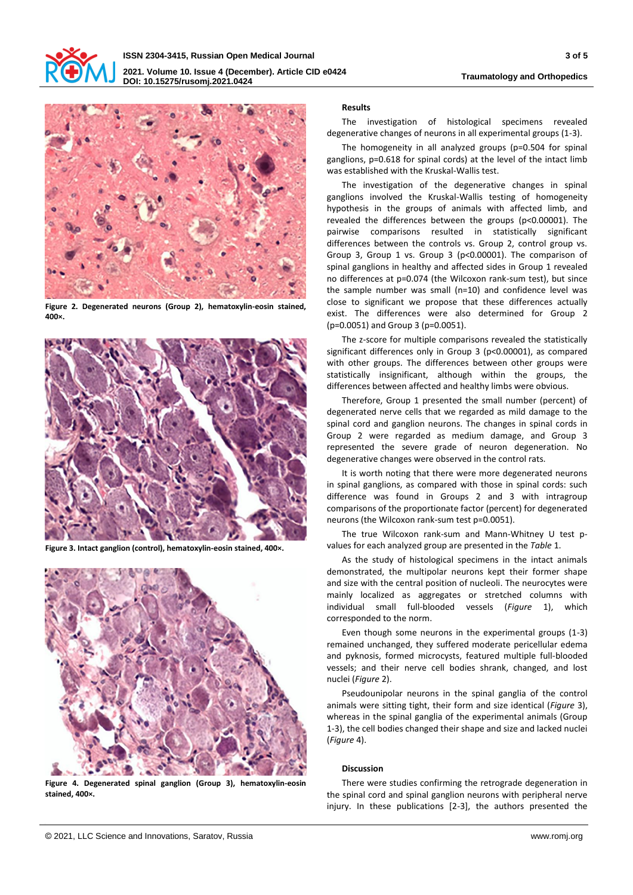



**Figure 2. Degenerated neurons (Group 2), hematoxylin-eosin stained, 400×.**



**Figure 3. Intact ganglion (control), hematoxylin-eosin stained, 400×.**



**Figure 4. Degenerated spinal ganglion (Group 3), hematoxylin-eosin stained, 400×.**

# **Results**

The investigation of histological specimens revealed degenerative changes of neurons in all experimental groups (1-3).

The homogeneity in all analyzed groups (p=0.504 for spinal ganglions, p=0.618 for spinal cords) at the level of the intact limb was established with the Kruskal-Wallis test.

The investigation of the degenerative changes in spinal ganglions involved the Kruskal-Wallis testing of homogeneity hypothesis in the groups of animals with affected limb, and revealed the differences between the groups (p<0.00001). The pairwise comparisons resulted in statistically significant differences between the controls vs. Group 2, control group vs. Group 3, Group 1 vs. Group 3 (p<0.00001). The comparison of spinal ganglions in healthy and affected sides in Group 1 revealed no differences at p=0.074 (the Wilcoxon rank-sum test), but since the sample number was small (n=10) and confidence level was close to significant we propose that these differences actually exist. The differences were also determined for Group 2 (p=0.0051) and Group 3 (p=0.0051).

The z-score for multiple comparisons revealed the statistically significant differences only in Group 3 (p<0.00001), as compared with other groups. The differences between other groups were statistically insignificant, although within the groups, the differences between affected and healthy limbs were obvious.

Therefore, Group 1 presented the small number (percent) of degenerated nerve cells that we regarded as mild damage to the spinal cord and ganglion neurons. The changes in spinal cords in Group 2 were regarded as medium damage, and Group 3 represented the severe grade of neuron degeneration. No degenerative changes were observed in the control rats.

It is worth noting that there were more degenerated neurons in spinal ganglions, as compared with those in spinal cords: such difference was found in Groups 2 and 3 with intragroup comparisons of the proportionate factor (percent) for degenerated neurons (the Wilcoxon rank-sum test p=0.0051).

The true Wilcoxon rank-sum and Mann-Whitney U test pvalues for each analyzed group are presented in the *Table* 1.

As the study of histological specimens in the intact animals demonstrated, the multipolar neurons kept their former shape and size with the central position of nucleoli. The neurocytes were mainly localized as aggregates or stretched columns with individual small full-blooded vessels (*Figure* 1), which corresponded to the norm.

Even though some neurons in the experimental groups (1-3) remained unchanged, they suffered moderate pericellular edema and pyknosis, formed microcysts, featured multiple full-blooded vessels; and their nerve cell bodies shrank, changed, and lost nuclei (*Figure* 2).

Pseudounipolar neurons in the spinal ganglia of the control animals were sitting tight, their form and size identical (*Figure* 3), whereas in the spinal ganglia of the experimental animals (Group 1-3), the cell bodies changed their shape and size and lacked nuclei (*Figure* 4).

# **Discussion**

There were studies confirming the retrograde degeneration in the spinal cord and spinal ganglion neurons with peripheral nerve injury. In these publications [2-3], the authors presented the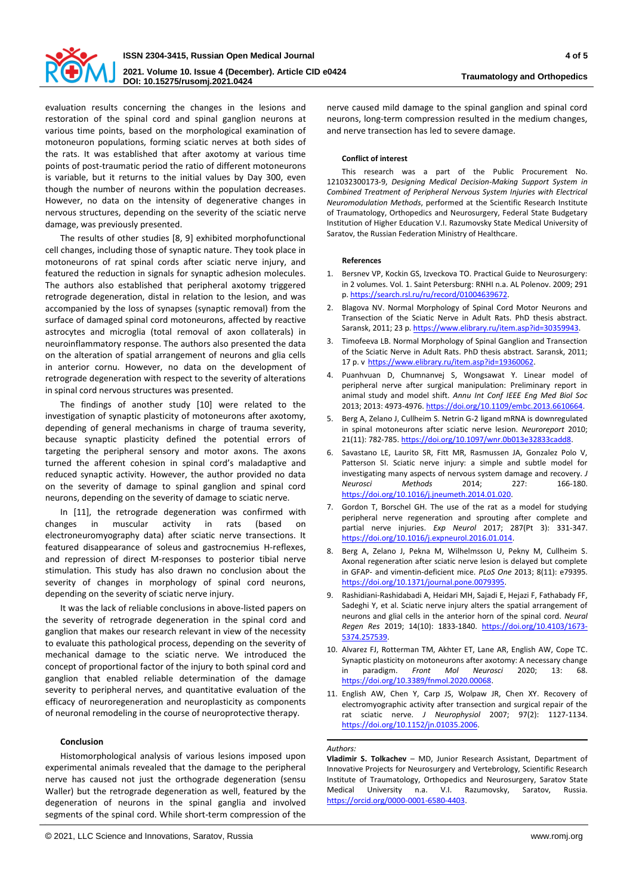

evaluation results concerning the changes in the lesions and restoration of the spinal cord and spinal ganglion neurons at various time points, based on the morphological examination of motoneuron populations, forming sciatic nerves at both sides of the rats. It was established that after axotomy at various time points of post-traumatic period the ratio of different motoneurons is variable, but it returns to the initial values by Day 300, even though the number of neurons within the population decreases. However, no data on the intensity of degenerative changes in nervous structures, depending on the severity of the sciatic nerve damage, was previously presented.

The results of other studies [8, 9] exhibited morphofunctional cell changes, including those of synaptic nature. They took place in motoneurons of rat spinal cords after sciatic nerve injury, and featured the reduction in signals for synaptic adhesion molecules. The authors also established that peripheral axotomy triggered retrograde degeneration, distal in relation to the lesion, and was accompanied by the loss of synapses (synaptic removal) from the surface of damaged spinal cord motoneurons, affected by reactive astrocytes and microglia (total removal of axon collaterals) in neuroinflammatory response. The authors also presented the data on the alteration of spatial arrangement of neurons and glia cells in anterior cornu. However, no data on the development of retrograde degeneration with respect to the severity of alterations in spinal cord nervous structures was presented.

The findings of another study [10] were related to the investigation of synaptic plasticity of motoneurons after axotomy, depending of general mechanisms in charge of trauma severity, because synaptic plasticity defined the potential errors of targeting the peripheral sensory and motor axons. The axons turned the afferent cohesion in spinal cord's maladaptive and reduced synaptic activity. However, the author provided no data on the severity of damage to spinal ganglion and spinal cord neurons, depending on the severity of damage to sciatic nerve.

In [11], the retrograde degeneration was confirmed with changes in muscular activity in rats (based on electroneuromyography data) after sciatic nerve transections. It featured disappearance of soleus and gastrocnemius H-reflexes, and repression of direct M-responses to posterior tibial nerve stimulation. This study has also drawn no conclusion about the severity of changes in morphology of spinal cord neurons, depending on the severity of sciatic nerve injury.

It was the lack of reliable conclusions in above-listed papers on the severity of retrograde degeneration in the spinal cord and ganglion that makes our research relevant in view of the necessity to evaluate this pathological process, depending on the severity of mechanical damage to the sciatic nerve. We introduced the concept of proportional factor of the injury to both spinal cord and ganglion that enabled reliable determination of the damage severity to peripheral nerves, and quantitative evaluation of the efficacy of neuroregeneration and neuroplasticity as components of neuronal remodeling in the course of neuroprotective therapy.

## **Conclusion**

Histomorphological analysis of various lesions imposed upon experimental animals revealed that the damage to the peripheral nerve has caused not just the orthograde degeneration (sensu Waller) but the retrograde degeneration as well, featured by the degeneration of neurons in the spinal ganglia and involved segments of the spinal cord. While short-term compression of the

nerve caused mild damage to the spinal ganglion and spinal cord neurons, long-term compression resulted in the medium changes, and nerve transection has led to severe damage.

# **Conflict of interest**

This research was a part of the Public Procurement No. 121032300173-9, *Designing Medical Decision-Making Support System in Combined Treatment of Peripheral Nervous System Injuries with Electrical Neuromodulation Methods*, performed at the Scientific Research Institute of Traumatology, Orthopedics and Neurosurgery, Federal State Budgetary Institution of Higher Education V.I. Razumovsky State Medical University of Saratov, the Russian Federation Ministry of Healthcare.

## **References**

- 1. Bersnev VP, Kockin GS, Izveckova TO. Practical Guide to Neurosurgery: in 2 volumes. Vol. 1. Saint Petersburg: RNHI n.a. AL Polenov. 2009; 291 p[. https://search.rsl.ru/ru/record/01004639672.](https://search.rsl.ru/ru/record/01004639672)
- 2. Blagova NV. Normal Morphology of Spinal Cord Motor Neurons and Transection of the Sciatic Nerve in Adult Rats. PhD thesis abstract. Saransk, 2011; 23 p[. https://www.elibrary.ru/item.asp?id=30359943.](https://www.elibrary.ru/item.asp?id=30359943)
- 3. Timofeeva LB. Normal Morphology of Spinal Ganglion and Transection of the Sciatic Nerve in Adult Rats. PhD thesis abstract. Saransk, 2011; 17 p. v [https://www.elibrary.ru/item.asp?id=19360062.](https://www.elibrary.ru/item.asp?id=19360062)
- 4. Puanhvuan D, Chumnanvej S, Wongsawat Y. Linear model of peripheral nerve after surgical manipulation: Preliminary report in animal study and model shift. *Annu Int Conf IEEE Eng Med Biol Soc* 2013; 2013: 4973-4976[. https://doi.org/10.1109/embc.2013.6610664.](https://doi.org/10.1109/embc.2013.6610664)
- 5. Berg A, Zelano J, Cullheim S. Netrin G-2 ligand mRNA is downregulated in spinal motoneurons after sciatic nerve lesion. *Neuroreport* 2010; 21(11): 782-785[. https://doi.org/10.1097/wnr.0b013e32833cadd8.](https://doi.org/10.1097/wnr.0b013e32833cadd8)
- Savastano LE, Laurito SR, Fitt MR, Rasmussen JA, Gonzalez Polo V, Patterson SI. Sciatic nerve injury: a simple and subtle model for investigating many aspects of nervous system damage and recovery. *J Neurosci Methods* 2014; 227: 166-180. [https://doi.org/10.1016/j.jneumeth.2014.01.020.](https://doi.org/10.1016/j.jneumeth.2014.01.020)
- 7. Gordon T, Borschel GH. The use of the rat as a model for studying peripheral nerve regeneration and sprouting after complete and partial nerve injuries. *Exp Neurol* 2017; 287(Pt 3): 331-347. [https://doi.org/10.1016/j.expneurol.2016.01.014.](https://doi.org/10.1016/j.expneurol.2016.01.014)
- 8. Berg A, Zelano J, Pekna M, Wilhelmsson U, Pekny M, Cullheim S. Axonal regeneration after sciatic nerve lesion is delayed but complete in GFAP- and vimentin-deficient mice. *PLoS One* 2013; 8(11): e79395. [https://doi.org/10.1371/journal.pone.0079395.](https://doi.org/10.1371/journal.pone.0079395)
- 9. Rashidiani-Rashidabadi A, Heidari MH, Sajadi E, Hejazi F, Fathabady FF, Sadeghi Y, et al. Sciatic nerve injury alters the spatial arrangement of neurons and glial cells in the anterior horn of the spinal cord. *Neural Regen Res* 2019; 14(10): 1833-1840. [https://doi.org/10.4103/1673-](https://doi.org/10.4103/1673-5374.257539) [5374.257539.](https://doi.org/10.4103/1673-5374.257539)
- 10. Alvarez FJ, Rotterman TM, Akhter ET, Lane AR, English AW, Cope TC. Synaptic plasticity on motoneurons after axotomy: A necessary change in paradigm. *Front Mol Neurosci* 2020; 13: 68. [https://doi.org/10.3389/fnmol.2020.00068.](https://doi.org/10.3389/fnmol.2020.00068)
- 11. English AW, Chen Y, Carp JS, Wolpaw JR, Chen XY. Recovery of electromyographic activity after transection and surgical repair of the rat sciatic nerve. *J Neurophysiol* 2007; 97(2): 1127-1134. [https://doi.org/10.1152/jn.01035.2006.](https://doi.org/10.1152/jn.01035.2006)

# *Authors:*

**Vladimir S. Tolkachev** – MD, Junior Research Assistant, Department of Innovative Projects for Neurosurgery and Vertebrology, Scientific Research Institute of Traumatology, Orthopedics and Neurosurgery, Saratov State Medical University n.a. V.I. Razumovsky, Saratov, Russia. [https://orcid.org/0000-0001-6580-4403.](https://orcid.org/0000-0001-6580-4403)